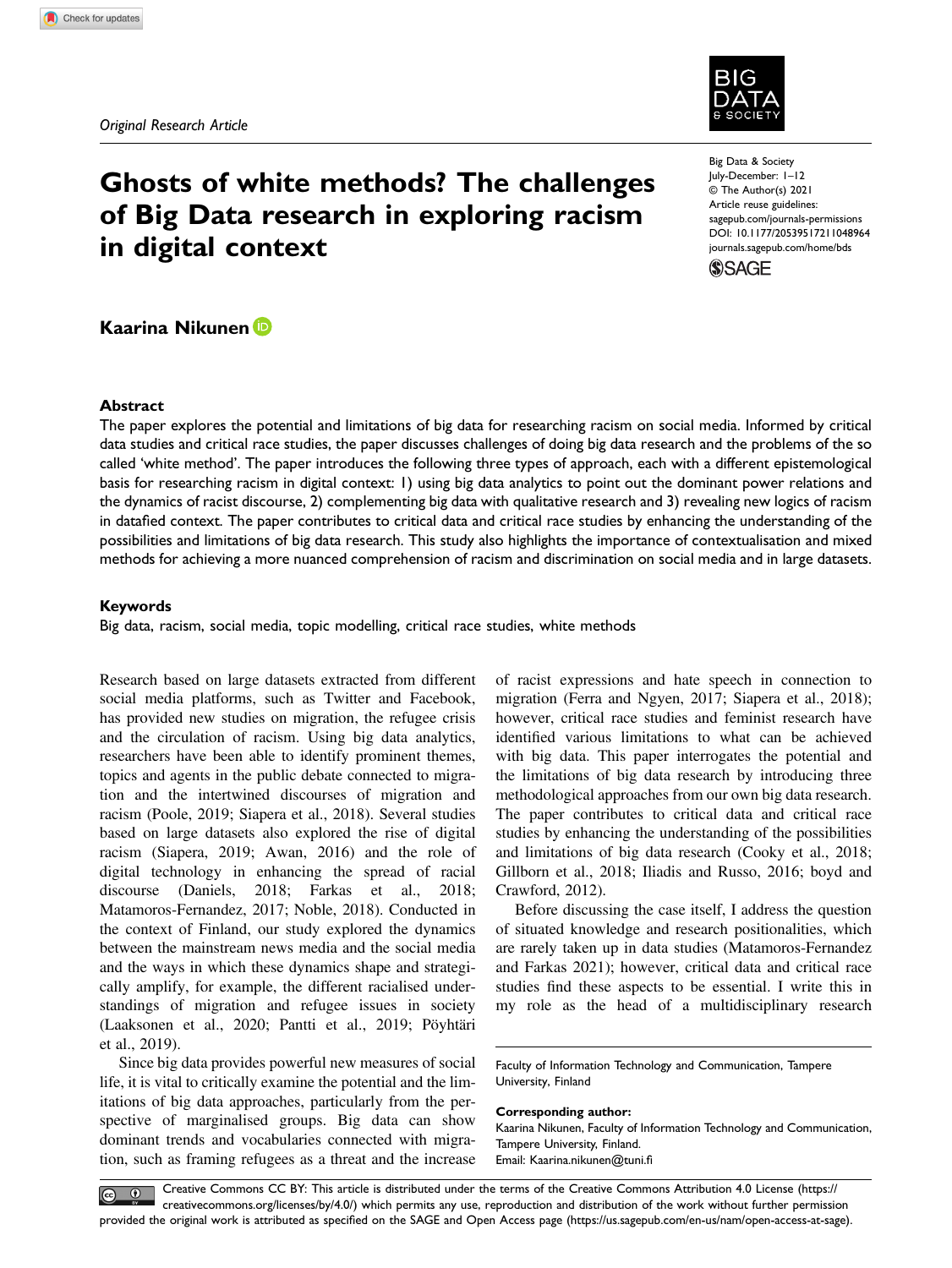

# Ghosts of white methods? The challenges of Big Data research in exploring racism in digital context

Big Data & Society July-December: 1–12 © The Author(s) 2021 Article reuse guidelines: [sagepub.com/journals-permissions](https://us.sagepub.com/en-us/journals-permissions) DOI: 10.1177/20539517211048964 [journals.sagepub.com/home/bds](https://journals.sagepub.com/home/bds)



# Kaarina Nikunen

## Abstract

The paper explores the potential and limitations of big data for researching racism on social media. Informed by critical data studies and critical race studies, the paper discusses challenges of doing big data research and the problems of the so called 'white method'. The paper introduces the following three types of approach, each with a different epistemological basis for researching racism in digital context: 1) using big data analytics to point out the dominant power relations and the dynamics of racist discourse, 2) complementing big data with qualitative research and 3) revealing new logics of racism in datafied context. The paper contributes to critical data and critical race studies by enhancing the understanding of the possibilities and limitations of big data research. This study also highlights the importance of contextualisation and mixed methods for achieving a more nuanced comprehension of racism and discrimination on social media and in large datasets.

### Keywords

Big data, racism, social media, topic modelling, critical race studies, white methods

Research based on large datasets extracted from different social media platforms, such as Twitter and Facebook, has provided new studies on migration, the refugee crisis and the circulation of racism. Using big data analytics, researchers have been able to identify prominent themes, topics and agents in the public debate connected to migration and the intertwined discourses of migration and racism (Poole, 2019; Siapera et al., 2018). Several studies based on large datasets also explored the rise of digital racism (Siapera, 2019; Awan, 2016) and the role of digital technology in enhancing the spread of racial discourse (Daniels, 2018; Farkas et al., 2018; Matamoros-Fernandez, 2017; Noble, 2018). Conducted in the context of Finland, our study explored the dynamics between the mainstream news media and the social media and the ways in which these dynamics shape and strategically amplify, for example, the different racialised understandings of migration and refugee issues in society (Laaksonen et al., 2020; Pantti et al., 2019; Pöyhtäri et al., 2019).

Since big data provides powerful new measures of social life, it is vital to critically examine the potential and the limitations of big data approaches, particularly from the perspective of marginalised groups. Big data can show dominant trends and vocabularies connected with migration, such as framing refugees as a threat and the increase

of racist expressions and hate speech in connection to migration (Ferra and Ngyen, 2017; Siapera et al., 2018); however, critical race studies and feminist research have identified various limitations to what can be achieved with big data. This paper interrogates the potential and the limitations of big data research by introducing three methodological approaches from our own big data research. The paper contributes to critical data and critical race studies by enhancing the understanding of the possibilities and limitations of big data research (Cooky et al., 2018; Gillborn et al., 2018; Iliadis and Russo, 2016; boyd and Crawford, 2012).

Before discussing the case itself, I address the question of situated knowledge and research positionalities, which are rarely taken up in data studies (Matamoros-Fernandez and Farkas 2021); however, critical data and critical race studies find these aspects to be essential. I write this in my role as the head of a multidisciplinary research

### Corresponding author:

Creative Commons CC BY: This article is distributed under the terms of the Creative Commons Attribution 4.0 License ([https://](https://creativecommons.org/licenses/by/4.0/) [creativecommons.org/licenses/by/4.0/\) which permits any use, reproduction and distribution of the work without further permission](https://creativecommons.org/licenses/by/4.0/) provided the original work is attributed as specifi[ed on the SAGE and Open Access page \(https://us.sagepub.com/en-us/nam/open-access-at-sage\).](https://us.sagepub.com/en-us/nam/open-access-at-sage)

Faculty of Information Technology and Communication, Tampere University, Finland

Kaarina Nikunen, Faculty of Information Technology and Communication, Tampere University, Finland. Email: [Kaarina.nikunen@tuni.](mailto:Kaarina.nikunen@tuni.fi)fi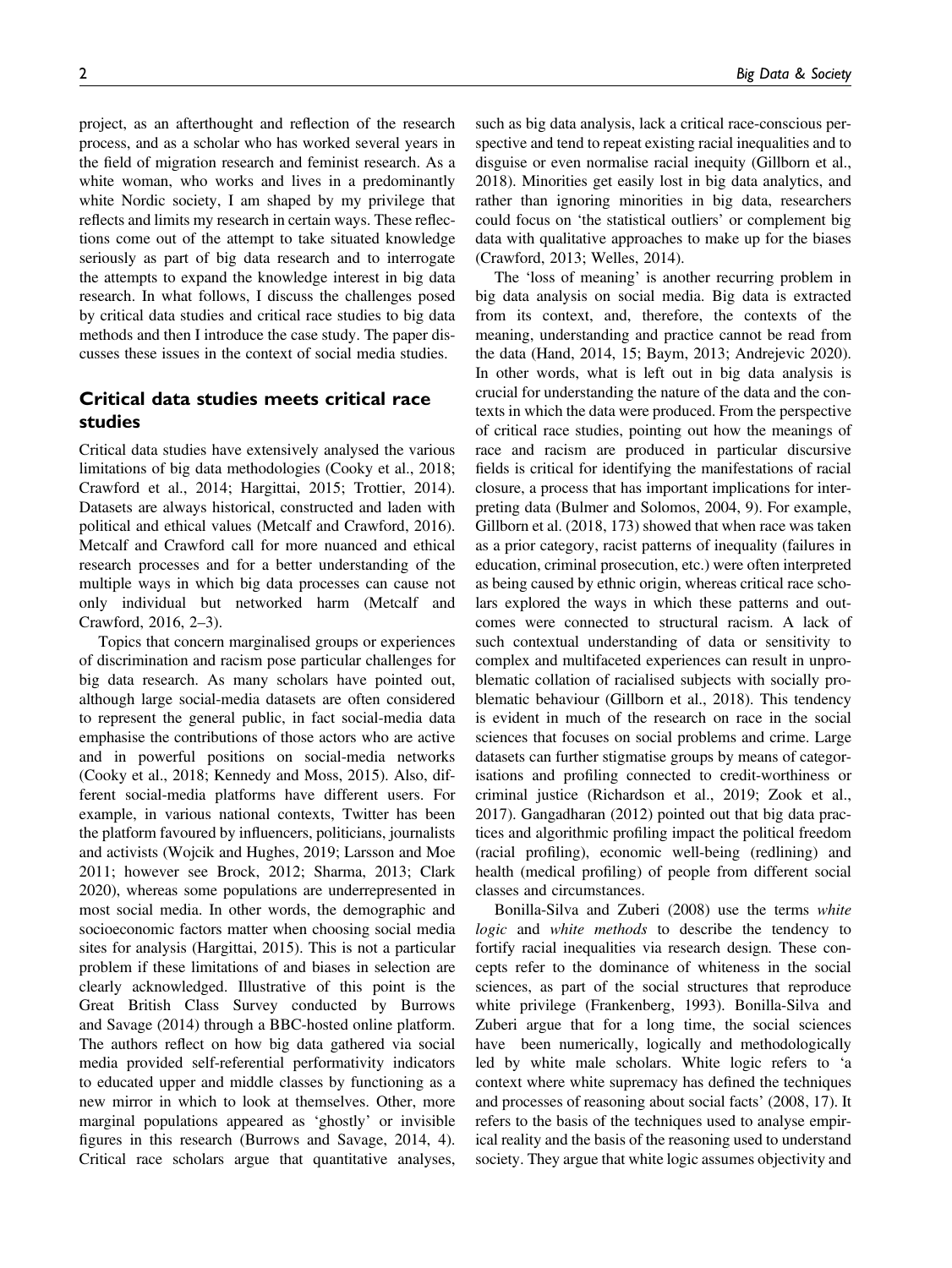project, as an afterthought and reflection of the research process, and as a scholar who has worked several years in the field of migration research and feminist research. As a white woman, who works and lives in a predominantly white Nordic society, I am shaped by my privilege that reflects and limits my research in certain ways. These reflections come out of the attempt to take situated knowledge seriously as part of big data research and to interrogate the attempts to expand the knowledge interest in big data research. In what follows, I discuss the challenges posed by critical data studies and critical race studies to big data methods and then I introduce the case study. The paper discusses these issues in the context of social media studies.

# Critical data studies meets critical race studies

Critical data studies have extensively analysed the various limitations of big data methodologies (Cooky et al., 2018; Crawford et al., 2014; Hargittai, 2015; Trottier, 2014). Datasets are always historical, constructed and laden with political and ethical values (Metcalf and Crawford, 2016). Metcalf and Crawford call for more nuanced and ethical research processes and for a better understanding of the multiple ways in which big data processes can cause not only individual but networked harm (Metcalf and Crawford, 2016, 2–3).

Topics that concern marginalised groups or experiences of discrimination and racism pose particular challenges for big data research. As many scholars have pointed out, although large social-media datasets are often considered to represent the general public, in fact social-media data emphasise the contributions of those actors who are active and in powerful positions on social-media networks (Cooky et al., 2018; Kennedy and Moss, 2015). Also, different social-media platforms have different users. For example, in various national contexts, Twitter has been the platform favoured by influencers, politicians, journalists and activists (Wojcik and Hughes, 2019; Larsson and Moe 2011; however see Brock, 2012; Sharma, 2013; Clark 2020), whereas some populations are underrepresented in most social media. In other words, the demographic and socioeconomic factors matter when choosing social media sites for analysis (Hargittai, 2015). This is not a particular problem if these limitations of and biases in selection are clearly acknowledged. Illustrative of this point is the Great British Class Survey conducted by Burrows and Savage (2014) through a BBC-hosted online platform. The authors reflect on how big data gathered via social media provided self-referential performativity indicators to educated upper and middle classes by functioning as a new mirror in which to look at themselves. Other, more marginal populations appeared as 'ghostly' or invisible figures in this research (Burrows and Savage, 2014, 4). Critical race scholars argue that quantitative analyses,

such as big data analysis, lack a critical race-conscious perspective and tend to repeat existing racial inequalities and to disguise or even normalise racial inequity (Gillborn et al., 2018). Minorities get easily lost in big data analytics, and rather than ignoring minorities in big data, researchers could focus on 'the statistical outliers' or complement big data with qualitative approaches to make up for the biases (Crawford, 2013; Welles, 2014).

The 'loss of meaning' is another recurring problem in big data analysis on social media. Big data is extracted from its context, and, therefore, the contexts of the meaning, understanding and practice cannot be read from the data (Hand, 2014, 15; Baym, 2013; Andrejevic 2020). In other words, what is left out in big data analysis is crucial for understanding the nature of the data and the contexts in which the data were produced. From the perspective of critical race studies, pointing out how the meanings of race and racism are produced in particular discursive fields is critical for identifying the manifestations of racial closure, a process that has important implications for interpreting data (Bulmer and Solomos, 2004, 9). For example, Gillborn et al. (2018, 173) showed that when race was taken as a prior category, racist patterns of inequality (failures in education, criminal prosecution, etc.) were often interpreted as being caused by ethnic origin, whereas critical race scholars explored the ways in which these patterns and outcomes were connected to structural racism. A lack of such contextual understanding of data or sensitivity to complex and multifaceted experiences can result in unproblematic collation of racialised subjects with socially problematic behaviour (Gillborn et al., 2018). This tendency is evident in much of the research on race in the social sciences that focuses on social problems and crime. Large datasets can further stigmatise groups by means of categorisations and profiling connected to credit-worthiness or criminal justice (Richardson et al., 2019; Zook et al., 2017). Gangadharan (2012) pointed out that big data practices and algorithmic profiling impact the political freedom (racial profiling), economic well-being (redlining) and health (medical profiling) of people from different social classes and circumstances.

Bonilla-Silva and Zuberi (2008) use the terms white logic and white methods to describe the tendency to fortify racial inequalities via research design. These concepts refer to the dominance of whiteness in the social sciences, as part of the social structures that reproduce white privilege (Frankenberg, 1993). Bonilla-Silva and Zuberi argue that for a long time, the social sciences have been numerically, logically and methodologically led by white male scholars. White logic refers to 'a context where white supremacy has defined the techniques and processes of reasoning about social facts' (2008, 17). It refers to the basis of the techniques used to analyse empirical reality and the basis of the reasoning used to understand society. They argue that white logic assumes objectivity and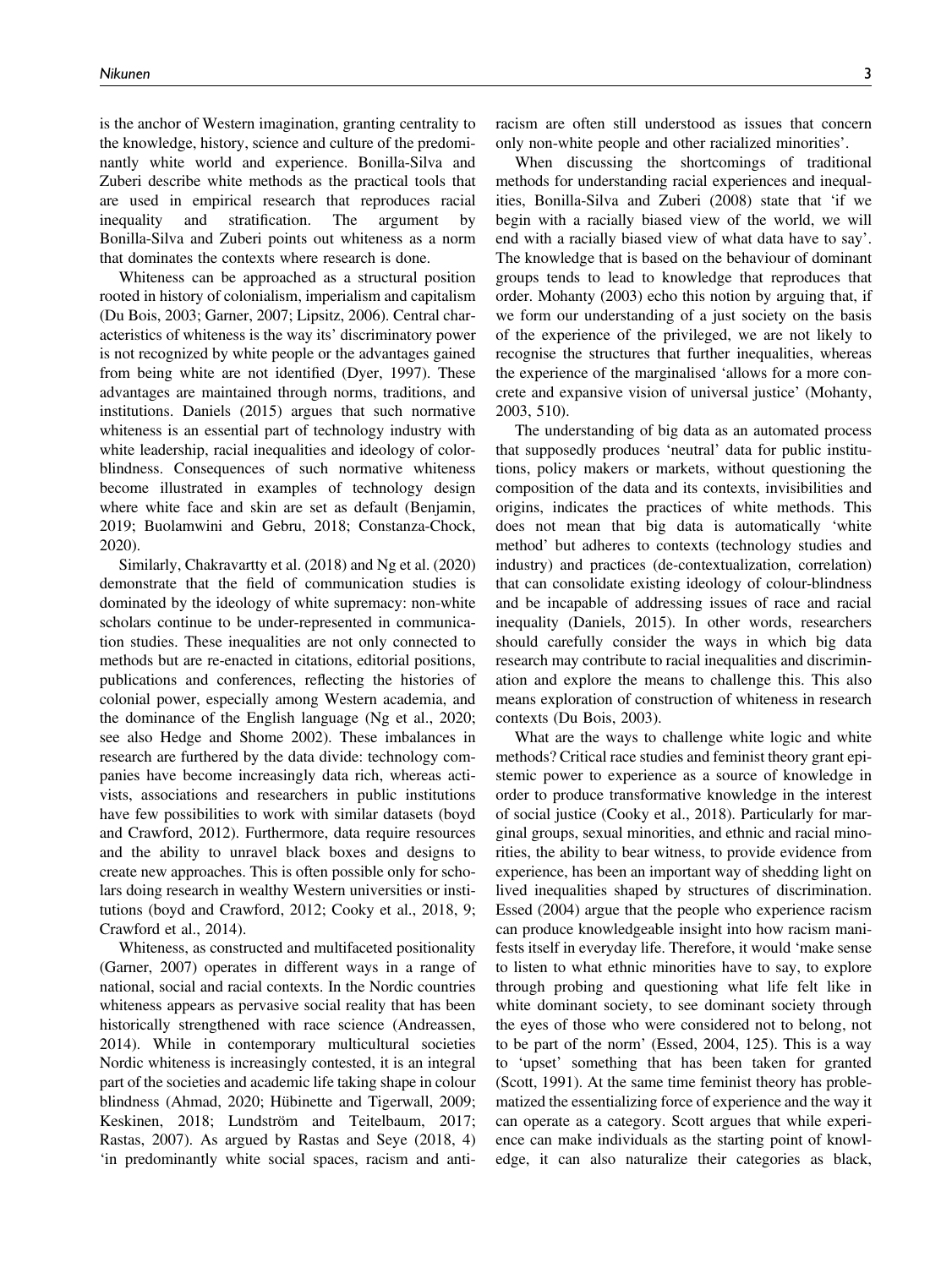is the anchor of Western imagination, granting centrality to the knowledge, history, science and culture of the predominantly white world and experience. Bonilla-Silva and Zuberi describe white methods as the practical tools that are used in empirical research that reproduces racial inequality and stratification. The argument by Bonilla-Silva and Zuberi points out whiteness as a norm that dominates the contexts where research is done.

Whiteness can be approached as a structural position rooted in history of colonialism, imperialism and capitalism (Du Bois, 2003; Garner, 2007; Lipsitz, 2006). Central characteristics of whiteness is the way its' discriminatory power is not recognized by white people or the advantages gained from being white are not identified (Dyer, 1997). These advantages are maintained through norms, traditions, and institutions. Daniels (2015) argues that such normative whiteness is an essential part of technology industry with white leadership, racial inequalities and ideology of colorblindness. Consequences of such normative whiteness become illustrated in examples of technology design where white face and skin are set as default (Benjamin, 2019; Buolamwini and Gebru, 2018; Constanza-Chock, 2020).

Similarly, Chakravartty et al. (2018) and Ng et al. (2020) demonstrate that the field of communication studies is dominated by the ideology of white supremacy: non-white scholars continue to be under-represented in communication studies. These inequalities are not only connected to methods but are re-enacted in citations, editorial positions, publications and conferences, reflecting the histories of colonial power, especially among Western academia, and the dominance of the English language (Ng et al., 2020; see also Hedge and Shome 2002). These imbalances in research are furthered by the data divide: technology companies have become increasingly data rich, whereas activists, associations and researchers in public institutions have few possibilities to work with similar datasets (boyd and Crawford, 2012). Furthermore, data require resources and the ability to unravel black boxes and designs to create new approaches. This is often possible only for scholars doing research in wealthy Western universities or institutions (boyd and Crawford, 2012; Cooky et al., 2018, 9; Crawford et al., 2014).

Whiteness, as constructed and multifaceted positionality (Garner, 2007) operates in different ways in a range of national, social and racial contexts. In the Nordic countries whiteness appears as pervasive social reality that has been historically strengthened with race science (Andreassen, 2014). While in contemporary multicultural societies Nordic whiteness is increasingly contested, it is an integral part of the societies and academic life taking shape in colour blindness (Ahmad, 2020; Hübinette and Tigerwall, 2009; Keskinen, 2018; Lundström and Teitelbaum, 2017; Rastas, 2007). As argued by Rastas and Seye (2018, 4) 'in predominantly white social spaces, racism and antiracism are often still understood as issues that concern only non-white people and other racialized minorities'.

When discussing the shortcomings of traditional methods for understanding racial experiences and inequalities, Bonilla-Silva and Zuberi (2008) state that 'if we begin with a racially biased view of the world, we will end with a racially biased view of what data have to say'. The knowledge that is based on the behaviour of dominant groups tends to lead to knowledge that reproduces that order. Mohanty (2003) echo this notion by arguing that, if we form our understanding of a just society on the basis of the experience of the privileged, we are not likely to recognise the structures that further inequalities, whereas the experience of the marginalised 'allows for a more concrete and expansive vision of universal justice' (Mohanty, 2003, 510).

The understanding of big data as an automated process that supposedly produces 'neutral' data for public institutions, policy makers or markets, without questioning the composition of the data and its contexts, invisibilities and origins, indicates the practices of white methods. This does not mean that big data is automatically 'white method' but adheres to contexts (technology studies and industry) and practices (de-contextualization, correlation) that can consolidate existing ideology of colour-blindness and be incapable of addressing issues of race and racial inequality (Daniels, 2015). In other words, researchers should carefully consider the ways in which big data research may contribute to racial inequalities and discrimination and explore the means to challenge this. This also means exploration of construction of whiteness in research contexts (Du Bois, 2003).

What are the ways to challenge white logic and white methods? Critical race studies and feminist theory grant epistemic power to experience as a source of knowledge in order to produce transformative knowledge in the interest of social justice (Cooky et al., 2018). Particularly for marginal groups, sexual minorities, and ethnic and racial minorities, the ability to bear witness, to provide evidence from experience, has been an important way of shedding light on lived inequalities shaped by structures of discrimination. Essed (2004) argue that the people who experience racism can produce knowledgeable insight into how racism manifests itself in everyday life. Therefore, it would 'make sense to listen to what ethnic minorities have to say, to explore through probing and questioning what life felt like in white dominant society, to see dominant society through the eyes of those who were considered not to belong, not to be part of the norm' (Essed, 2004, 125). This is a way to 'upset' something that has been taken for granted (Scott, 1991). At the same time feminist theory has problematized the essentializing force of experience and the way it can operate as a category. Scott argues that while experience can make individuals as the starting point of knowledge, it can also naturalize their categories as black,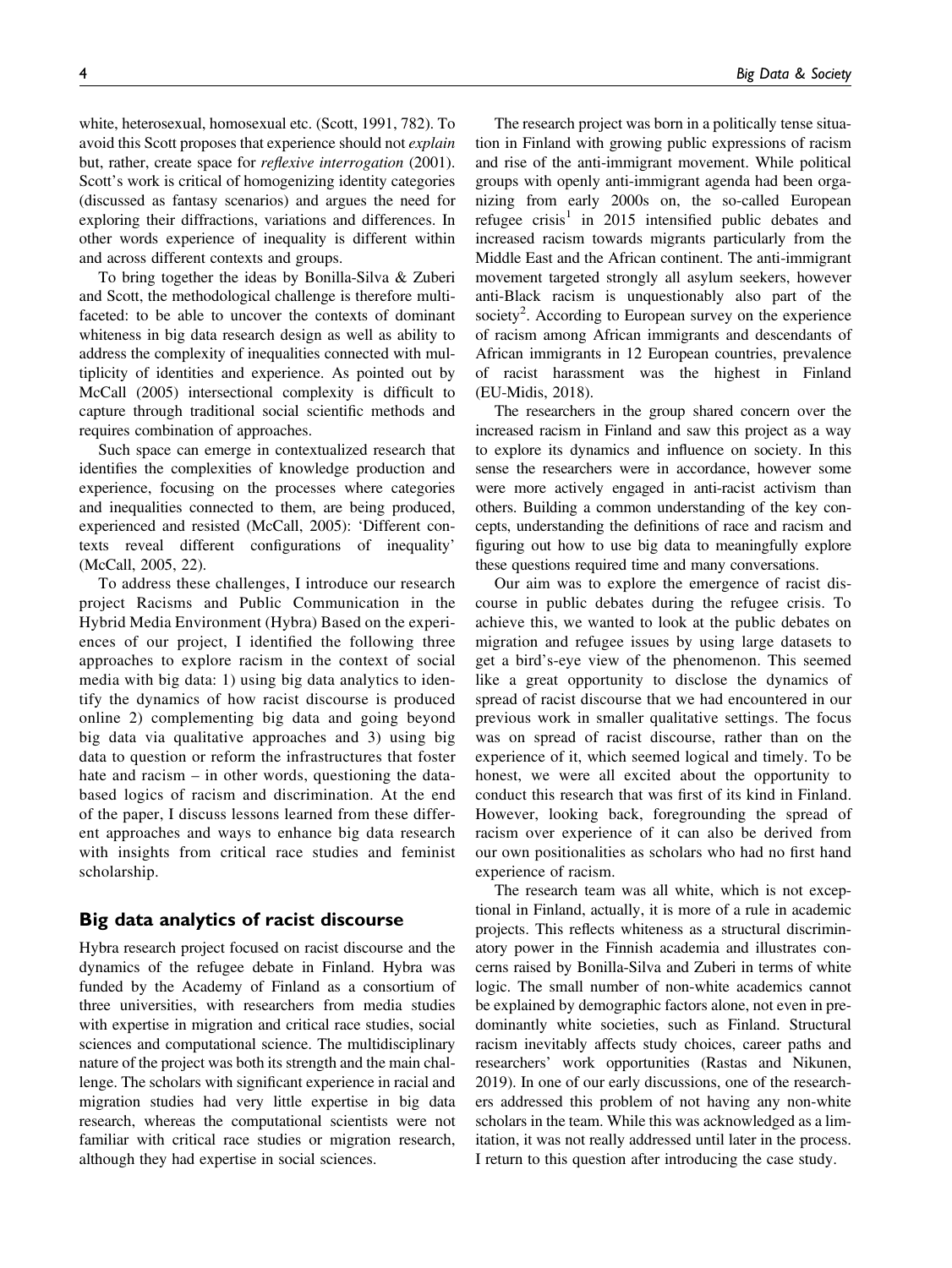white, heterosexual, homosexual etc. (Scott, 1991, 782). To avoid this Scott proposes that experience should not explain but, rather, create space for reflexive interrogation (2001). Scott's work is critical of homogenizing identity categories (discussed as fantasy scenarios) and argues the need for exploring their diffractions, variations and differences. In other words experience of inequality is different within and across different contexts and groups.

To bring together the ideas by Bonilla-Silva & Zuberi and Scott, the methodological challenge is therefore multifaceted: to be able to uncover the contexts of dominant whiteness in big data research design as well as ability to address the complexity of inequalities connected with multiplicity of identities and experience. As pointed out by McCall (2005) intersectional complexity is difficult to capture through traditional social scientific methods and requires combination of approaches.

Such space can emerge in contextualized research that identifies the complexities of knowledge production and experience, focusing on the processes where categories and inequalities connected to them, are being produced, experienced and resisted (McCall, 2005): 'Different contexts reveal different configurations of inequality' (McCall, 2005, 22).

To address these challenges, I introduce our research project Racisms and Public Communication in the Hybrid Media Environment (Hybra) Based on the experiences of our project, I identified the following three approaches to explore racism in the context of social media with big data: 1) using big data analytics to identify the dynamics of how racist discourse is produced online 2) complementing big data and going beyond big data via qualitative approaches and 3) using big data to question or reform the infrastructures that foster hate and racism – in other words, questioning the databased logics of racism and discrimination. At the end of the paper, I discuss lessons learned from these different approaches and ways to enhance big data research with insights from critical race studies and feminist scholarship.

## Big data analytics of racist discourse

Hybra research project focused on racist discourse and the dynamics of the refugee debate in Finland. Hybra was funded by the Academy of Finland as a consortium of three universities, with researchers from media studies with expertise in migration and critical race studies, social sciences and computational science. The multidisciplinary nature of the project was both its strength and the main challenge. The scholars with significant experience in racial and migration studies had very little expertise in big data research, whereas the computational scientists were not familiar with critical race studies or migration research, although they had expertise in social sciences.

The research project was born in a politically tense situation in Finland with growing public expressions of racism and rise of the anti-immigrant movement. While political groups with openly anti-immigrant agenda had been organizing from early 2000s on, the so-called European refugee crisis<sup>1</sup> in 2015 intensified public debates and increased racism towards migrants particularly from the Middle East and the African continent. The anti-immigrant movement targeted strongly all asylum seekers, however anti-Black racism is unquestionably also part of the society<sup>2</sup>. According to European survey on the experience of racism among African immigrants and descendants of African immigrants in 12 European countries, prevalence of racist harassment was the highest in Finland (EU-Midis, 2018).

The researchers in the group shared concern over the increased racism in Finland and saw this project as a way to explore its dynamics and influence on society. In this sense the researchers were in accordance, however some were more actively engaged in anti-racist activism than others. Building a common understanding of the key concepts, understanding the definitions of race and racism and figuring out how to use big data to meaningfully explore these questions required time and many conversations.

Our aim was to explore the emergence of racist discourse in public debates during the refugee crisis. To achieve this, we wanted to look at the public debates on migration and refugee issues by using large datasets to get a bird's-eye view of the phenomenon. This seemed like a great opportunity to disclose the dynamics of spread of racist discourse that we had encountered in our previous work in smaller qualitative settings. The focus was on spread of racist discourse, rather than on the experience of it, which seemed logical and timely. To be honest, we were all excited about the opportunity to conduct this research that was first of its kind in Finland. However, looking back, foregrounding the spread of racism over experience of it can also be derived from our own positionalities as scholars who had no first hand experience of racism.

The research team was all white, which is not exceptional in Finland, actually, it is more of a rule in academic projects. This reflects whiteness as a structural discriminatory power in the Finnish academia and illustrates concerns raised by Bonilla-Silva and Zuberi in terms of white logic. The small number of non-white academics cannot be explained by demographic factors alone, not even in predominantly white societies, such as Finland. Structural racism inevitably affects study choices, career paths and researchers' work opportunities (Rastas and Nikunen, 2019). In one of our early discussions, one of the researchers addressed this problem of not having any non-white scholars in the team. While this was acknowledged as a limitation, it was not really addressed until later in the process. I return to this question after introducing the case study.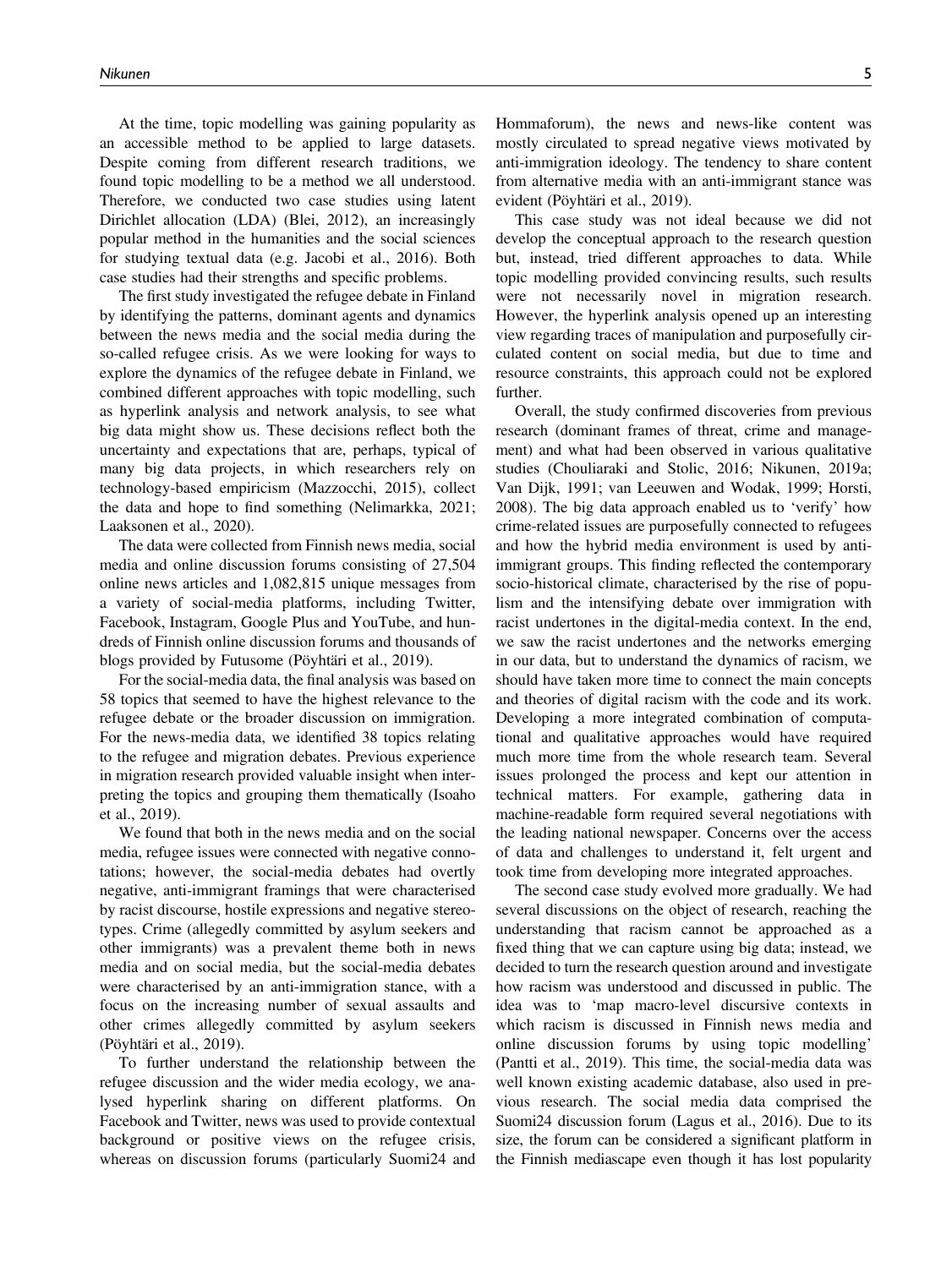At the time, topic modelling was gaining popularity as an accessible method to be applied to large datasets. Despite coming from different research traditions, we found topic modelling to be a method we all understood. Therefore, we conducted two case studies using latent Dirichlet allocation (LDA) (Blei, 2012), an increasingly popular method in the humanities and the social sciences for studying textual data (e.g. Jacobi et al., 2016). Both case studies had their strengths and specific problems.

The first study investigated the refugee debate in Finland by identifying the patterns, dominant agents and dynamics between the news media and the social media during the so-called refugee crisis. As we were looking for ways to explore the dynamics of the refugee debate in Finland, we combined different approaches with topic modelling, such as hyperlink analysis and network analysis, to see what big data might show us. These decisions reflect both the uncertainty and expectations that are, perhaps, typical of many big data projects, in which researchers rely on technology-based empiricism (Mazzocchi, 2015), collect the data and hope to find something (Nelimarkka, 2021; Laaksonen et al., 2020).

The data were collected from Finnish news media, social media and online discussion forums consisting of 27,504 online news articles and 1,082,815 unique messages from a variety of social-media platforms, including Twitter, Facebook, Instagram, Google Plus and YouTube, and hundreds of Finnish online discussion forums and thousands of blogs provided by Futusome (Pöyhtäri et al., 2019).

For the social-media data, the final analysis was based on 58 topics that seemed to have the highest relevance to the refugee debate or the broader discussion on immigration. For the news-media data, we identified 38 topics relating to the refugee and migration debates. Previous experience in migration research provided valuable insight when interpreting the topics and grouping them thematically (Isoaho et al., 2019).

We found that both in the news media and on the social media, refugee issues were connected with negative connotations; however, the social-media debates had overtly negative, anti-immigrant framings that were characterised by racist discourse, hostile expressions and negative stereotypes. Crime (allegedly committed by asylum seekers and other immigrants) was a prevalent theme both in news media and on social media, but the social-media debates were characterised by an anti-immigration stance, with a focus on the increasing number of sexual assaults and other crimes allegedly committed by asylum seekers (Pöyhtäri et al., 2019).

To further understand the relationship between the refugee discussion and the wider media ecology, we analysed hyperlink sharing on different platforms. On Facebook and Twitter, news was used to provide contextual background or positive views on the refugee crisis, whereas on discussion forums (particularly Suomi24 and Hommaforum), the news and news-like content was mostly circulated to spread negative views motivated by anti-immigration ideology. The tendency to share content from alternative media with an anti-immigrant stance was evident (Pöyhtäri et al., 2019).

This case study was not ideal because we did not develop the conceptual approach to the research question but, instead, tried different approaches to data. While topic modelling provided convincing results, such results were not necessarily novel in migration research. However, the hyperlink analysis opened up an interesting view regarding traces of manipulation and purposefully circulated content on social media, but due to time and resource constraints, this approach could not be explored further.

Overall, the study confirmed discoveries from previous research (dominant frames of threat, crime and management) and what had been observed in various qualitative studies (Chouliaraki and Stolic, 2016; Nikunen, 2019a; Van Dijk, 1991; van Leeuwen and Wodak, 1999; Horsti, 2008). The big data approach enabled us to 'verify' how crime-related issues are purposefully connected to refugees and how the hybrid media environment is used by antiimmigrant groups. This finding reflected the contemporary socio-historical climate, characterised by the rise of populism and the intensifying debate over immigration with racist undertones in the digital-media context. In the end, we saw the racist undertones and the networks emerging in our data, but to understand the dynamics of racism, we should have taken more time to connect the main concepts and theories of digital racism with the code and its work. Developing a more integrated combination of computational and qualitative approaches would have required much more time from the whole research team. Several issues prolonged the process and kept our attention in technical matters. For example, gathering data in machine-readable form required several negotiations with the leading national newspaper. Concerns over the access of data and challenges to understand it, felt urgent and took time from developing more integrated approaches.

The second case study evolved more gradually. We had several discussions on the object of research, reaching the understanding that racism cannot be approached as a fixed thing that we can capture using big data; instead, we decided to turn the research question around and investigate how racism was understood and discussed in public. The idea was to 'map macro-level discursive contexts in which racism is discussed in Finnish news media and online discussion forums by using topic modelling' (Pantti et al., 2019). This time, the social-media data was well known existing academic database, also used in previous research. The social media data comprised the Suomi24 discussion forum (Lagus et al., 2016). Due to its size, the forum can be considered a significant platform in the Finnish mediascape even though it has lost popularity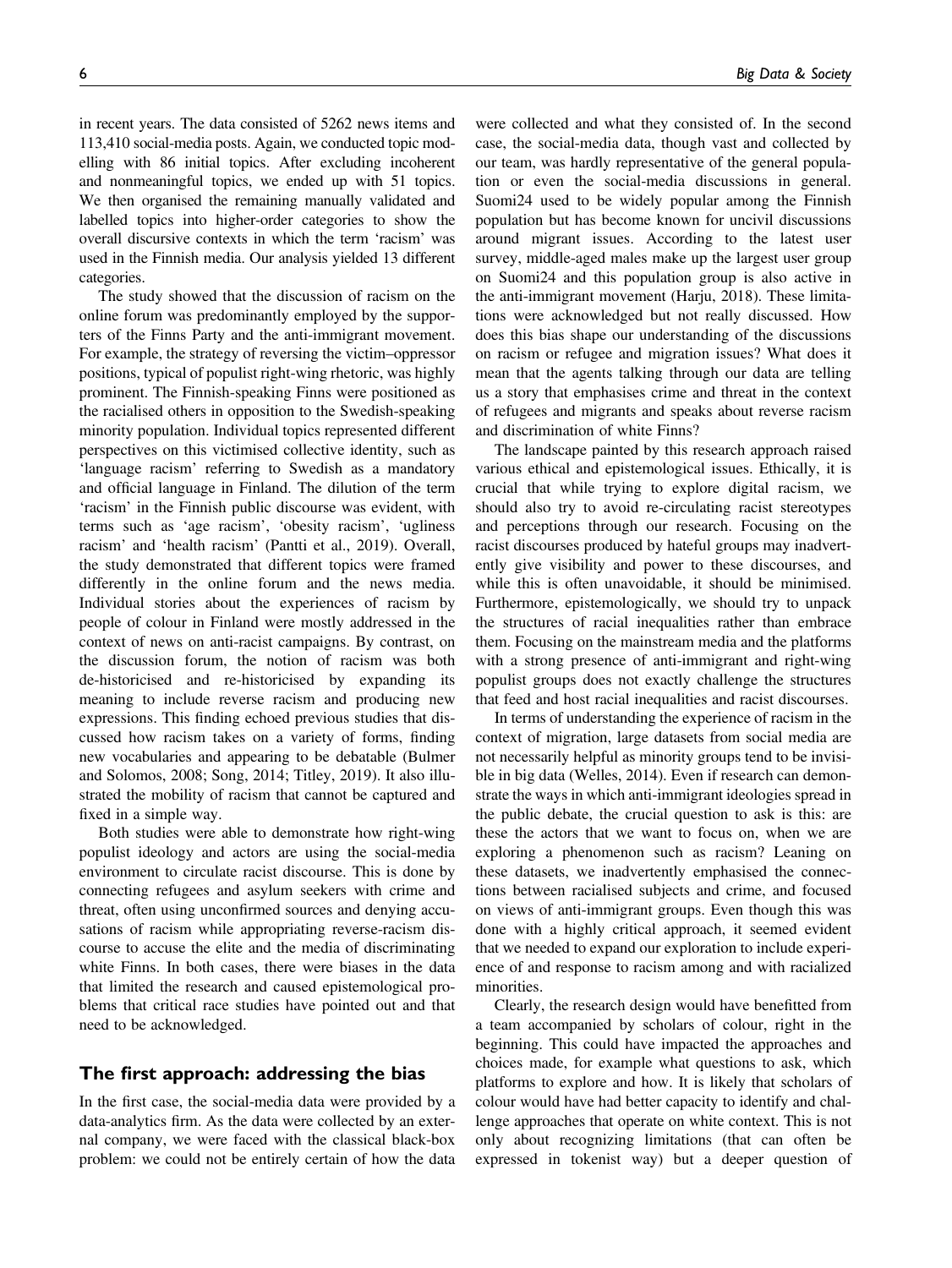er and the set of the set of the set of the set of the set of the set of the set of the set of the set of the s<br>Also set of the set of the set of the set of the set of the set of the set of the set of the set of the set of

in recent years. The data consisted of 5262 news items and 113,410 social-media posts. Again, we conducted topic modelling with 86 initial topics. After excluding incoherent and nonmeaningful topics, we ended up with 51 topics. We then organised the remaining manually validated and labelled topics into higher-order categories to show the overall discursive contexts in which the term 'racism' was used in the Finnish media. Our analysis yielded 13 different categories.

The study showed that the discussion of racism on the online forum was predominantly employed by the supporters of the Finns Party and the anti-immigrant movement. For example, the strategy of reversing the victim–oppressor positions, typical of populist right-wing rhetoric, was highly prominent. The Finnish-speaking Finns were positioned as the racialised others in opposition to the Swedish-speaking minority population. Individual topics represented different perspectives on this victimised collective identity, such as 'language racism' referring to Swedish as a mandatory and official language in Finland. The dilution of the term 'racism' in the Finnish public discourse was evident, with terms such as 'age racism', 'obesity racism', 'ugliness racism' and 'health racism' (Pantti et al., 2019). Overall, the study demonstrated that different topics were framed differently in the online forum and the news media. Individual stories about the experiences of racism by people of colour in Finland were mostly addressed in the context of news on anti-racist campaigns. By contrast, on the discussion forum, the notion of racism was both de-historicised and re-historicised by expanding its meaning to include reverse racism and producing new expressions. This finding echoed previous studies that discussed how racism takes on a variety of forms, finding new vocabularies and appearing to be debatable (Bulmer and Solomos, 2008; Song, 2014; Titley, 2019). It also illustrated the mobility of racism that cannot be captured and fixed in a simple way.

Both studies were able to demonstrate how right-wing populist ideology and actors are using the social-media environment to circulate racist discourse. This is done by connecting refugees and asylum seekers with crime and threat, often using unconfirmed sources and denying accusations of racism while appropriating reverse-racism discourse to accuse the elite and the media of discriminating white Finns. In both cases, there were biases in the data that limited the research and caused epistemological problems that critical race studies have pointed out and that need to be acknowledged.

## The first approach: addressing the bias

In the first case, the social-media data were provided by a data-analytics firm. As the data were collected by an external company, we were faced with the classical black-box problem: we could not be entirely certain of how the data

were collected and what they consisted of. In the second case, the social-media data, though vast and collected by our team, was hardly representative of the general population or even the social-media discussions in general. Suomi24 used to be widely popular among the Finnish population but has become known for uncivil discussions around migrant issues. According to the latest user survey, middle-aged males make up the largest user group on Suomi24 and this population group is also active in the anti-immigrant movement (Harju, 2018). These limitations were acknowledged but not really discussed. How does this bias shape our understanding of the discussions on racism or refugee and migration issues? What does it mean that the agents talking through our data are telling us a story that emphasises crime and threat in the context of refugees and migrants and speaks about reverse racism and discrimination of white Finns?

The landscape painted by this research approach raised various ethical and epistemological issues. Ethically, it is crucial that while trying to explore digital racism, we should also try to avoid re-circulating racist stereotypes and perceptions through our research. Focusing on the racist discourses produced by hateful groups may inadvertently give visibility and power to these discourses, and while this is often unavoidable, it should be minimised. Furthermore, epistemologically, we should try to unpack the structures of racial inequalities rather than embrace them. Focusing on the mainstream media and the platforms with a strong presence of anti-immigrant and right-wing populist groups does not exactly challenge the structures that feed and host racial inequalities and racist discourses.

In terms of understanding the experience of racism in the context of migration, large datasets from social media are not necessarily helpful as minority groups tend to be invisible in big data (Welles, 2014). Even if research can demonstrate the ways in which anti-immigrant ideologies spread in the public debate, the crucial question to ask is this: are these the actors that we want to focus on, when we are exploring a phenomenon such as racism? Leaning on these datasets, we inadvertently emphasised the connections between racialised subjects and crime, and focused on views of anti-immigrant groups. Even though this was done with a highly critical approach, it seemed evident that we needed to expand our exploration to include experience of and response to racism among and with racialized minorities.

Clearly, the research design would have benefitted from a team accompanied by scholars of colour, right in the beginning. This could have impacted the approaches and choices made, for example what questions to ask, which platforms to explore and how. It is likely that scholars of colour would have had better capacity to identify and challenge approaches that operate on white context. This is not only about recognizing limitations (that can often be expressed in tokenist way) but a deeper question of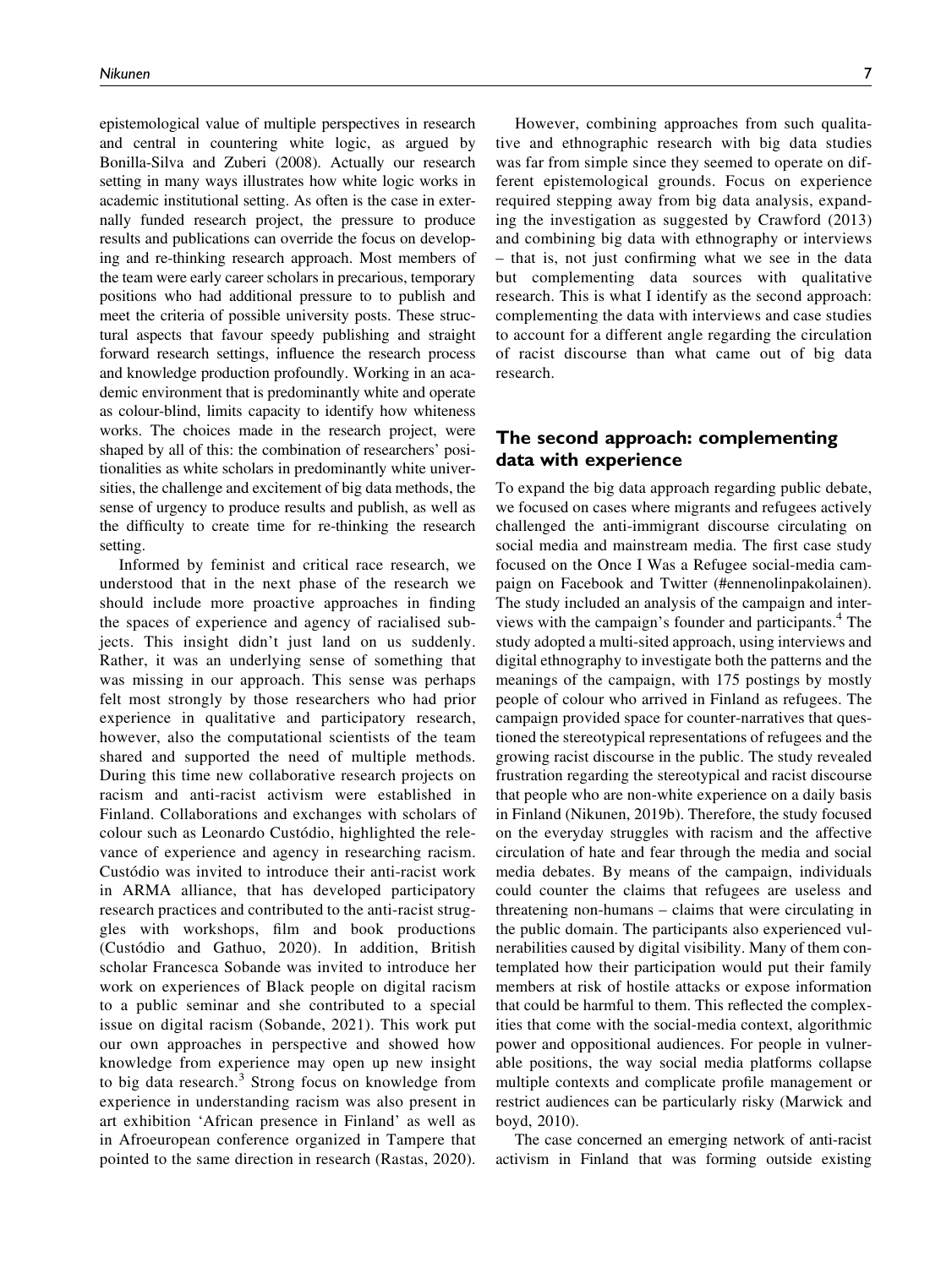epistemological value of multiple perspectives in research and central in countering white logic, as argued by Bonilla-Silva and Zuberi (2008). Actually our research setting in many ways illustrates how white logic works in academic institutional setting. As often is the case in externally funded research project, the pressure to produce results and publications can override the focus on developing and re-thinking research approach. Most members of the team were early career scholars in precarious, temporary positions who had additional pressure to to publish and meet the criteria of possible university posts. These structural aspects that favour speedy publishing and straight forward research settings, influence the research process and knowledge production profoundly. Working in an academic environment that is predominantly white and operate as colour-blind, limits capacity to identify how whiteness works. The choices made in the research project, were shaped by all of this: the combination of researchers' positionalities as white scholars in predominantly white universities, the challenge and excitement of big data methods, the sense of urgency to produce results and publish, as well as the difficulty to create time for re-thinking the research setting.

Informed by feminist and critical race research, we understood that in the next phase of the research we should include more proactive approaches in finding the spaces of experience and agency of racialised subjects. This insight didn't just land on us suddenly. Rather, it was an underlying sense of something that was missing in our approach. This sense was perhaps felt most strongly by those researchers who had prior experience in qualitative and participatory research, however, also the computational scientists of the team shared and supported the need of multiple methods. During this time new collaborative research projects on racism and anti-racist activism were established in Finland. Collaborations and exchanges with scholars of colour such as Leonardo Custódio, highlighted the relevance of experience and agency in researching racism. Custódio was invited to introduce their anti-racist work in ARMA alliance, that has developed participatory research practices and contributed to the anti-racist struggles with workshops, film and book productions (Custódio and Gathuo, 2020). In addition, British scholar Francesca Sobande was invited to introduce her work on experiences of Black people on digital racism to a public seminar and she contributed to a special issue on digital racism (Sobande, 2021). This work put our own approaches in perspective and showed how knowledge from experience may open up new insight to big data research.<sup>3</sup> Strong focus on knowledge from experience in understanding racism was also present in art exhibition 'African presence in Finland' as well as in Afroeuropean conference organized in Tampere that pointed to the same direction in research (Rastas, 2020).

However, combining approaches from such qualitative and ethnographic research with big data studies was far from simple since they seemed to operate on different epistemological grounds. Focus on experience required stepping away from big data analysis, expanding the investigation as suggested by Crawford (2013) and combining big data with ethnography or interviews – that is, not just confirming what we see in the data but complementing data sources with qualitative research. This is what I identify as the second approach: complementing the data with interviews and case studies to account for a different angle regarding the circulation of racist discourse than what came out of big data research.

# The second approach: complementing data with experience

To expand the big data approach regarding public debate, we focused on cases where migrants and refugees actively challenged the anti-immigrant discourse circulating on social media and mainstream media. The first case study focused on the Once I Was a Refugee social-media campaign on Facebook and Twitter (#ennenolinpakolainen). The study included an analysis of the campaign and interviews with the campaign's founder and participants.<sup>4</sup> The study adopted a multi-sited approach, using interviews and digital ethnography to investigate both the patterns and the meanings of the campaign, with 175 postings by mostly people of colour who arrived in Finland as refugees. The campaign provided space for counter-narratives that questioned the stereotypical representations of refugees and the growing racist discourse in the public. The study revealed frustration regarding the stereotypical and racist discourse that people who are non-white experience on a daily basis in Finland (Nikunen, 2019b). Therefore, the study focused on the everyday struggles with racism and the affective circulation of hate and fear through the media and social media debates. By means of the campaign, individuals could counter the claims that refugees are useless and threatening non-humans – claims that were circulating in the public domain. The participants also experienced vulnerabilities caused by digital visibility. Many of them contemplated how their participation would put their family members at risk of hostile attacks or expose information that could be harmful to them. This reflected the complexities that come with the social-media context, algorithmic power and oppositional audiences. For people in vulnerable positions, the way social media platforms collapse multiple contexts and complicate profile management or restrict audiences can be particularly risky (Marwick and boyd, 2010).

The case concerned an emerging network of anti-racist activism in Finland that was forming outside existing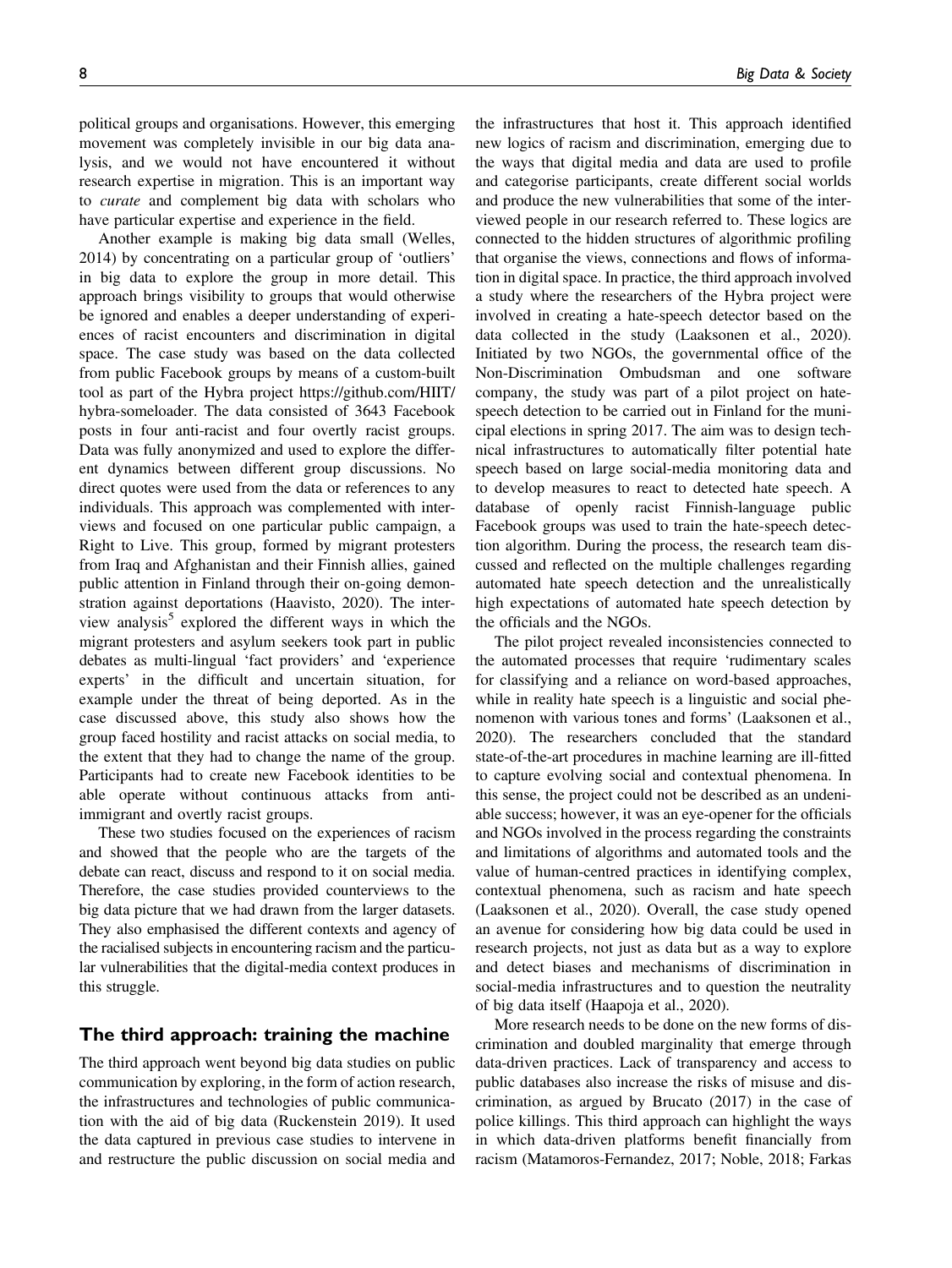political groups and organisations. However, this emerging movement was completely invisible in our big data analysis, and we would not have encountered it without research expertise in migration. This is an important way to curate and complement big data with scholars who have particular expertise and experience in the field.

Another example is making big data small (Welles, 2014) by concentrating on a particular group of 'outliers' in big data to explore the group in more detail. This approach brings visibility to groups that would otherwise be ignored and enables a deeper understanding of experiences of racist encounters and discrimination in digital space. The case study was based on the data collected from public Facebook groups by means of a custom-built tool as part of the Hybra project https://github.com/HIIT/ hybra-someloader. The data consisted of 3643 Facebook posts in four anti-racist and four overtly racist groups. Data was fully anonymized and used to explore the different dynamics between different group discussions. No direct quotes were used from the data or references to any individuals. This approach was complemented with interviews and focused on one particular public campaign, a Right to Live. This group, formed by migrant protesters from Iraq and Afghanistan and their Finnish allies, gained public attention in Finland through their on-going demonstration against deportations (Haavisto, 2020). The interview analysis<sup>5</sup> explored the different ways in which the migrant protesters and asylum seekers took part in public debates as multi-lingual 'fact providers' and 'experience experts' in the difficult and uncertain situation, for example under the threat of being deported. As in the case discussed above, this study also shows how the group faced hostility and racist attacks on social media, to the extent that they had to change the name of the group. Participants had to create new Facebook identities to be able operate without continuous attacks from antiimmigrant and overtly racist groups.

These two studies focused on the experiences of racism and showed that the people who are the targets of the debate can react, discuss and respond to it on social media. Therefore, the case studies provided counterviews to the big data picture that we had drawn from the larger datasets. They also emphasised the different contexts and agency of the racialised subjects in encountering racism and the particular vulnerabilities that the digital-media context produces in this struggle.

## The third approach: training the machine

The third approach went beyond big data studies on public communication by exploring, in the form of action research, the infrastructures and technologies of public communication with the aid of big data (Ruckenstein 2019). It used the data captured in previous case studies to intervene in and restructure the public discussion on social media and

the infrastructures that host it. This approach identified new logics of racism and discrimination, emerging due to the ways that digital media and data are used to profile and categorise participants, create different social worlds and produce the new vulnerabilities that some of the interviewed people in our research referred to. These logics are connected to the hidden structures of algorithmic profiling that organise the views, connections and flows of information in digital space. In practice, the third approach involved a study where the researchers of the Hybra project were involved in creating a hate-speech detector based on the data collected in the study (Laaksonen et al., 2020). Initiated by two NGOs, the governmental office of the Non-Discrimination Ombudsman and one software company, the study was part of a pilot project on hatespeech detection to be carried out in Finland for the municipal elections in spring 2017. The aim was to design technical infrastructures to automatically filter potential hate speech based on large social-media monitoring data and to develop measures to react to detected hate speech. A database of openly racist Finnish-language public Facebook groups was used to train the hate-speech detection algorithm. During the process, the research team discussed and reflected on the multiple challenges regarding automated hate speech detection and the unrealistically high expectations of automated hate speech detection by the officials and the NGOs.

The pilot project revealed inconsistencies connected to the automated processes that require 'rudimentary scales for classifying and a reliance on word-based approaches, while in reality hate speech is a linguistic and social phenomenon with various tones and forms' (Laaksonen et al., 2020). The researchers concluded that the standard state-of-the-art procedures in machine learning are ill-fitted to capture evolving social and contextual phenomena. In this sense, the project could not be described as an undeniable success; however, it was an eye-opener for the officials and NGOs involved in the process regarding the constraints and limitations of algorithms and automated tools and the value of human-centred practices in identifying complex, contextual phenomena, such as racism and hate speech (Laaksonen et al., 2020). Overall, the case study opened an avenue for considering how big data could be used in research projects, not just as data but as a way to explore and detect biases and mechanisms of discrimination in social-media infrastructures and to question the neutrality of big data itself (Haapoja et al., 2020).

More research needs to be done on the new forms of discrimination and doubled marginality that emerge through data-driven practices. Lack of transparency and access to public databases also increase the risks of misuse and discrimination, as argued by Brucato (2017) in the case of police killings. This third approach can highlight the ways in which data-driven platforms benefit financially from racism (Matamoros-Fernandez, 2017; Noble, 2018; Farkas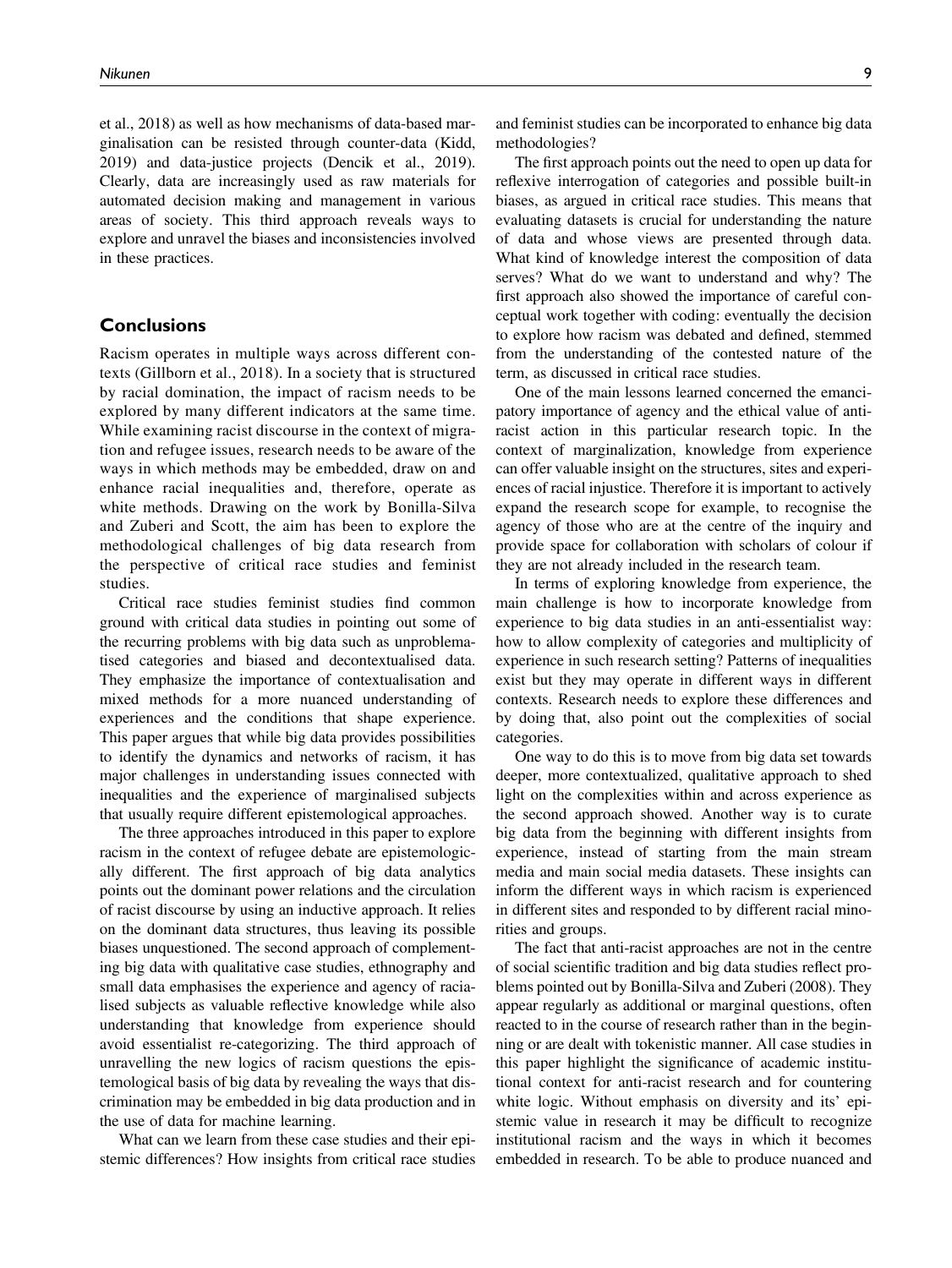et al., 2018) as well as how mechanisms of data-based marginalisation can be resisted through counter-data (Kidd, 2019) and data-justice projects (Dencik et al., 2019). Clearly, data are increasingly used as raw materials for automated decision making and management in various areas of society. This third approach reveals ways to explore and unravel the biases and inconsistencies involved in these practices.

## **Conclusions**

Racism operates in multiple ways across different contexts (Gillborn et al., 2018). In a society that is structured by racial domination, the impact of racism needs to be explored by many different indicators at the same time. While examining racist discourse in the context of migration and refugee issues, research needs to be aware of the ways in which methods may be embedded, draw on and enhance racial inequalities and, therefore, operate as white methods. Drawing on the work by Bonilla-Silva and Zuberi and Scott, the aim has been to explore the methodological challenges of big data research from the perspective of critical race studies and feminist studies.

Critical race studies feminist studies find common ground with critical data studies in pointing out some of the recurring problems with big data such as unproblematised categories and biased and decontextualised data. They emphasize the importance of contextualisation and mixed methods for a more nuanced understanding of experiences and the conditions that shape experience. This paper argues that while big data provides possibilities to identify the dynamics and networks of racism, it has major challenges in understanding issues connected with inequalities and the experience of marginalised subjects that usually require different epistemological approaches.

The three approaches introduced in this paper to explore racism in the context of refugee debate are epistemologically different. The first approach of big data analytics points out the dominant power relations and the circulation of racist discourse by using an inductive approach. It relies on the dominant data structures, thus leaving its possible biases unquestioned. The second approach of complementing big data with qualitative case studies, ethnography and small data emphasises the experience and agency of racialised subjects as valuable reflective knowledge while also understanding that knowledge from experience should avoid essentialist re-categorizing. The third approach of unravelling the new logics of racism questions the epistemological basis of big data by revealing the ways that discrimination may be embedded in big data production and in the use of data for machine learning.

What can we learn from these case studies and their epistemic differences? How insights from critical race studies and feminist studies can be incorporated to enhance big data methodologies?

The first approach points out the need to open up data for reflexive interrogation of categories and possible built-in biases, as argued in critical race studies. This means that evaluating datasets is crucial for understanding the nature of data and whose views are presented through data. What kind of knowledge interest the composition of data serves? What do we want to understand and why? The first approach also showed the importance of careful conceptual work together with coding: eventually the decision to explore how racism was debated and defined, stemmed from the understanding of the contested nature of the term, as discussed in critical race studies.

One of the main lessons learned concerned the emancipatory importance of agency and the ethical value of antiracist action in this particular research topic. In the context of marginalization, knowledge from experience can offer valuable insight on the structures, sites and experiences of racial injustice. Therefore it is important to actively expand the research scope for example, to recognise the agency of those who are at the centre of the inquiry and provide space for collaboration with scholars of colour if they are not already included in the research team.

In terms of exploring knowledge from experience, the main challenge is how to incorporate knowledge from experience to big data studies in an anti-essentialist way: how to allow complexity of categories and multiplicity of experience in such research setting? Patterns of inequalities exist but they may operate in different ways in different contexts. Research needs to explore these differences and by doing that, also point out the complexities of social categories.

One way to do this is to move from big data set towards deeper, more contextualized, qualitative approach to shed light on the complexities within and across experience as the second approach showed. Another way is to curate big data from the beginning with different insights from experience, instead of starting from the main stream media and main social media datasets. These insights can inform the different ways in which racism is experienced in different sites and responded to by different racial minorities and groups.

The fact that anti-racist approaches are not in the centre of social scientific tradition and big data studies reflect problems pointed out by Bonilla-Silva and Zuberi (2008). They appear regularly as additional or marginal questions, often reacted to in the course of research rather than in the beginning or are dealt with tokenistic manner. All case studies in this paper highlight the significance of academic institutional context for anti-racist research and for countering white logic. Without emphasis on diversity and its' epistemic value in research it may be difficult to recognize institutional racism and the ways in which it becomes embedded in research. To be able to produce nuanced and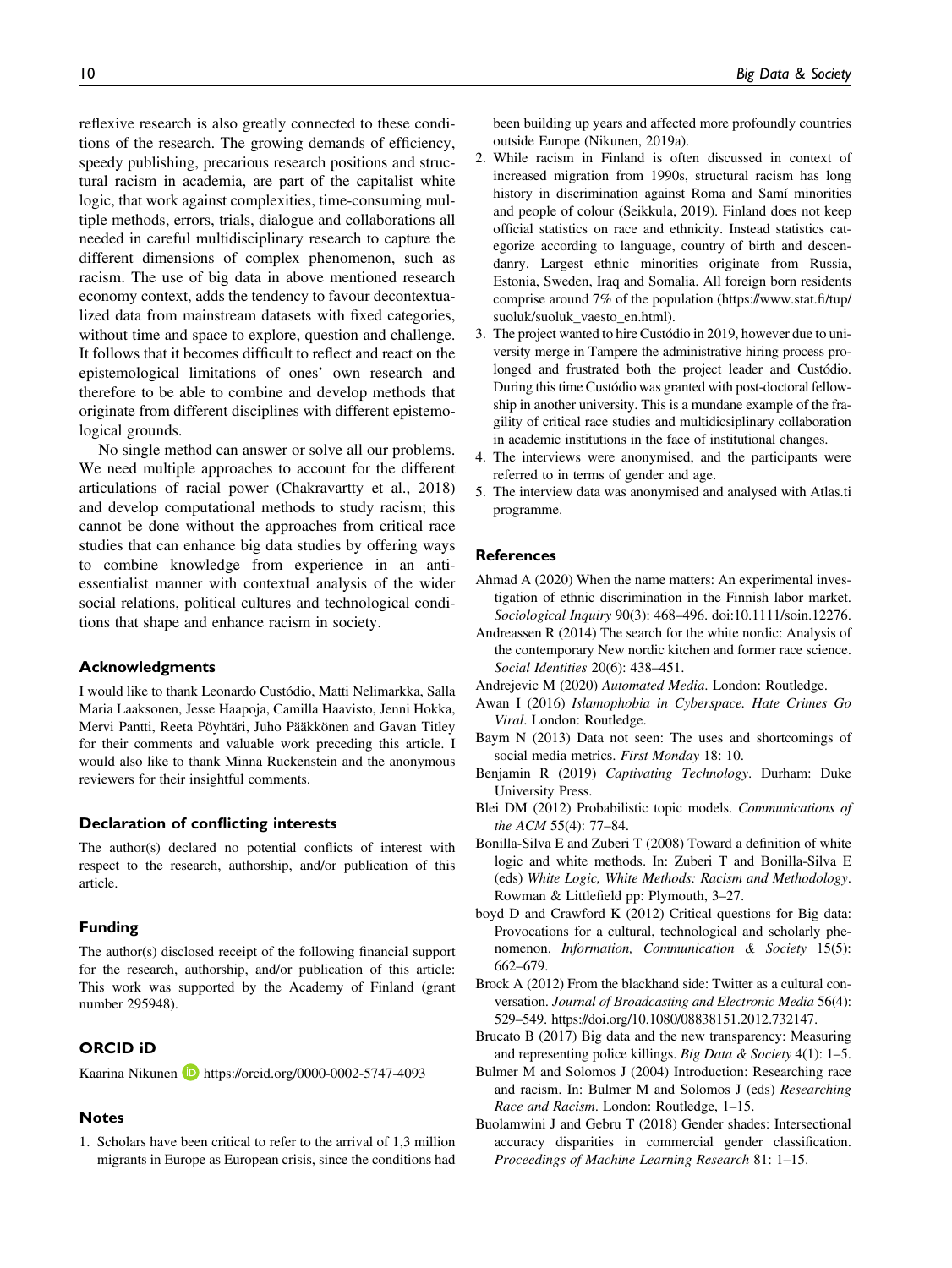reflexive research is also greatly connected to these conditions of the research. The growing demands of efficiency, speedy publishing, precarious research positions and structural racism in academia, are part of the capitalist white logic, that work against complexities, time-consuming multiple methods, errors, trials, dialogue and collaborations all needed in careful multidisciplinary research to capture the different dimensions of complex phenomenon, such as racism. The use of big data in above mentioned research economy context, adds the tendency to favour decontextualized data from mainstream datasets with fixed categories, without time and space to explore, question and challenge. It follows that it becomes difficult to reflect and react on the epistemological limitations of ones' own research and therefore to be able to combine and develop methods that originate from different disciplines with different epistemological grounds.

No single method can answer or solve all our problems. We need multiple approaches to account for the different articulations of racial power (Chakravartty et al., 2018) and develop computational methods to study racism; this cannot be done without the approaches from critical race studies that can enhance big data studies by offering ways to combine knowledge from experience in an antiessentialist manner with contextual analysis of the wider social relations, political cultures and technological conditions that shape and enhance racism in society.

#### Acknowledgments

I would like to thank Leonardo Custódio, Matti Nelimarkka, Salla Maria Laaksonen, Jesse Haapoja, Camilla Haavisto, Jenni Hokka, Mervi Pantti, Reeta Pöyhtäri, Juho Pääkkönen and Gavan Titley for their comments and valuable work preceding this article. I would also like to thank Minna Ruckenstein and the anonymous reviewers for their insightful comments.

#### Declaration of conflicting interests

The author(s) declared no potential conflicts of interest with respect to the research, authorship, and/or publication of this article.

### Funding

The author(s) disclosed receipt of the following financial support for the research, authorship, and/or publication of this article: This work was supported by the Academy of Finland (grant number 295948).

## ORCID iD

Kaarina Nikunen **b** <https://orcid.org/0000-0002-5747-4093>

#### Notes

1. Scholars have been critical to refer to the arrival of 1,3 million migrants in Europe as European crisis, since the conditions had been building up years and affected more profoundly countries outside Europe (Nikunen, 2019a).

- 2. While racism in Finland is often discussed in context of increased migration from 1990s, structural racism has long history in discrimination against Roma and Samí minorities and people of colour (Seikkula, 2019). Finland does not keep official statistics on race and ethnicity. Instead statistics categorize according to language, country of birth and descendanry. Largest ethnic minorities originate from Russia, Estonia, Sweden, Iraq and Somalia. All foreign born residents comprise around 7% of the population ([https://www.stat.](https://www.stat.fi/tup/suoluk/suoluk_vaesto_en.html)fi/tup/ [suoluk/suoluk\\_vaesto\\_en.html\)](https://www.stat.fi/tup/suoluk/suoluk_vaesto_en.html).
- 3. The project wanted to hire Custódio in 2019, however due to university merge in Tampere the administrative hiring process prolonged and frustrated both the project leader and Custódio. During this time Custódio was granted with post-doctoral fellowship in another university. This is a mundane example of the fragility of critical race studies and multidicsiplinary collaboration in academic institutions in the face of institutional changes.
- 4. The interviews were anonymised, and the participants were referred to in terms of gender and age.
- 5. The interview data was anonymised and analysed with Atlas.ti programme.

## **References**

- Ahmad A (2020) When the name matters: An experimental investigation of ethnic discrimination in the Finnish labor market. Sociological Inquiry 90(3): 468–496. doi[:10.1111/soin.12276.](https://doi.org/10.1111/soin.12276)
- Andreassen R (2014) The search for the white nordic: Analysis of the contemporary New nordic kitchen and former race science. Social Identities 20(6): 438–451.
- Andrejevic M (2020) Automated Media. London: Routledge.
- Awan I (2016) Islamophobia in Cyberspace. Hate Crimes Go Viral. London: Routledge.
- Baym N (2013) Data not seen: The uses and shortcomings of social media metrics. First Monday 18: 10.
- Benjamin R (2019) Captivating Technology. Durham: Duke University Press.
- Blei DM (2012) Probabilistic topic models. Communications of the ACM 55(4): 77–84.
- Bonilla-Silva E and Zuberi T (2008) Toward a definition of white logic and white methods. In: Zuberi T and Bonilla-Silva E (eds) White Logic, White Methods: Racism and Methodology. Rowman & Littlefield pp: Plymouth, 3–27.
- boyd D and Crawford K (2012) Critical questions for Big data: Provocations for a cultural, technological and scholarly phenomenon. Information, Communication & Society 15(5): 662–679.
- Brock A (2012) From the blackhand side: Twitter as a cultural conversation. Journal of Broadcasting and Electronic Media 56(4): 529–549. https://doi.org/10.1080/08838151.2012.732147.
- Brucato B (2017) Big data and the new transparency: Measuring and representing police killings. Big Data & Society 4(1): 1–5.
- Bulmer M and Solomos J (2004) Introduction: Researching race and racism. In: Bulmer M and Solomos J (eds) Researching Race and Racism. London: Routledge, 1–15.
- Buolamwini J and Gebru T (2018) Gender shades: Intersectional accuracy disparities in commercial gender classification. Proceedings of Machine Learning Research 81: 1–15.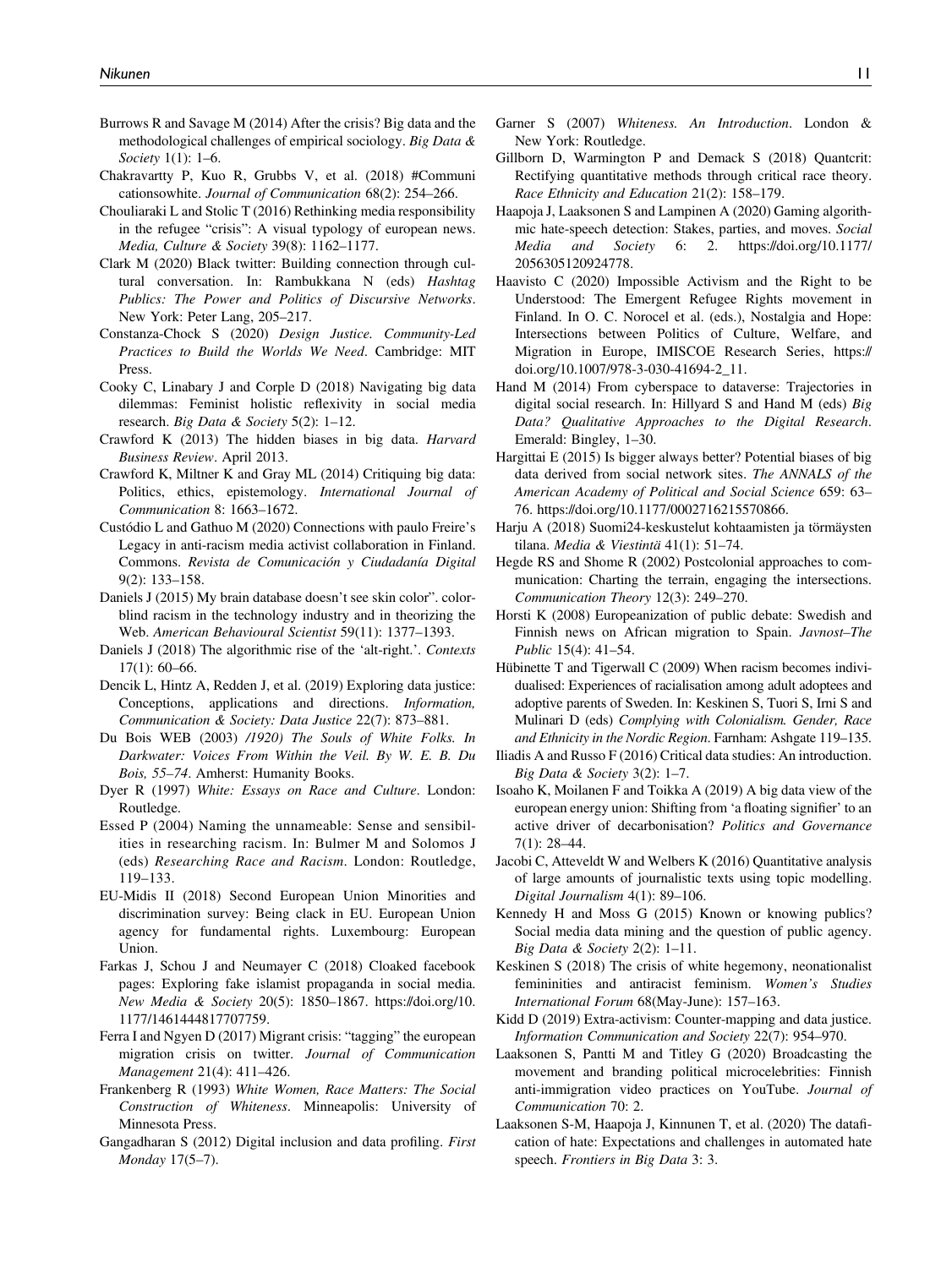- Burrows R and Savage M (2014) After the crisis? Big data and the methodological challenges of empirical sociology. Big Data & Society 1(1): 1–6.
- Chakravartty P, Kuo R, Grubbs V, et al. (2018) #Communi cationsowhite. Journal of Communication 68(2): 254–266.
- Chouliaraki L and Stolic T (2016) Rethinking media responsibility in the refugee "crisis": A visual typology of european news. Media, Culture & Society 39(8): 1162–1177.
- Clark M (2020) Black twitter: Building connection through cultural conversation. In: Rambukkana N (eds) Hashtag Publics: The Power and Politics of Discursive Networks. New York: Peter Lang, 205–217.
- Constanza-Chock S (2020) Design Justice. Community-Led Practices to Build the Worlds We Need. Cambridge: MIT Press.
- Cooky C, Linabary J and Corple D (2018) Navigating big data dilemmas: Feminist holistic reflexivity in social media research. Big Data & Society 5(2): 1–12.
- Crawford K (2013) The hidden biases in big data. Harvard Business Review. April 2013.
- Crawford K, Miltner K and Gray ML (2014) Critiquing big data: Politics, ethics, epistemology. International Journal of Communication 8: 1663–1672.
- Custódio L and Gathuo M (2020) Connections with paulo Freire's Legacy in anti-racism media activist collaboration in Finland. Commons. Revista de Comunicación y Ciudadanía Digital 9(2): 133–158.
- Daniels J (2015) My brain database doesn't see skin color". colorblind racism in the technology industry and in theorizing the Web. American Behavioural Scientist 59(11): 1377–1393.
- Daniels J (2018) The algorithmic rise of the 'alt-right.'. Contexts 17(1): 60–66.
- Dencik L, Hintz A, Redden J, et al. (2019) Exploring data justice: Conceptions, applications and directions. Information, Communication & Society: Data Justice 22(7): 873–881.
- Du Bois WEB (2003) /1920) The Souls of White Folks. In Darkwater: Voices From Within the Veil. By W. E. B. Du Bois, 55–74. Amherst: Humanity Books.
- Dyer R (1997) White: Essays on Race and Culture. London: Routledge.
- Essed P (2004) Naming the unnameable: Sense and sensibilities in researching racism. In: Bulmer M and Solomos J (eds) Researching Race and Racism. London: Routledge, 119–133.
- EU-Midis II (2018) Second European Union Minorities and discrimination survey: Being clack in EU. European Union agency for fundamental rights. Luxembourg: European Union.
- Farkas J, Schou J and Neumayer C (2018) Cloaked facebook pages: Exploring fake islamist propaganda in social media. [New Media & Society](https://doi.org/10.1177/1461444817707759) 20(5): 1850–1867. [https://doi.org/10.](https://doi.org/10.1177/1461444817707759) [1177/1461444817707759.](https://doi.org/10.1177/1461444817707759)
- Ferra I and Ngyen D (2017) Migrant crisis: "tagging" the european migration crisis on twitter. Journal of Communication Management 21(4): 411–426.
- Frankenberg R (1993) White Women, Race Matters: The Social Construction of Whiteness. Minneapolis: University of Minnesota Press.
- Gangadharan S (2012) Digital inclusion and data profiling. First Monday 17(5–7).
- Garner S (2007) Whiteness. An Introduction. London & New York: Routledge.
- Gillborn D, Warmington P and Demack S (2018) Quantcrit: Rectifying quantitative methods through critical race theory. Race Ethnicity and Education 21(2): 158–179.
- Haapoja J, Laaksonen S and Lampinen A (2020) Gaming algorithmic hate-speech detection: Stakes, parties, and moves. [Social](https://doi.org/10.1177/2056305120924778) [Media and Society](https://doi.org/10.1177/2056305120924778) 6: 2. [https://doi.org/10.1177/](https://doi.org/10.1177/2056305120924778) [2056305120924778](https://doi.org/10.1177/2056305120924778).
- Haavisto C (2020) Impossible Activism and the Right to be Understood: The Emergent Refugee Rights movement in Finland. In O. C. Norocel et al. (eds.), Nostalgia and Hope: Intersections between Politics of Culture, Welfare, and Migration in Europe, IMISCOE Research Series, https:// doi.org/10.1007/978-3-030-41694-2\_11.
- Hand M (2014) From cyberspace to dataverse: Trajectories in digital social research. In: Hillyard S and Hand M (eds) Big Data? Qualitative Approaches to the Digital Research. Emerald: Bingley, 1–30.
- Hargittai E (2015) Is bigger always better? Potential biases of big data derived from social network sites. The ANNALS of the American Academy of Political and Social Science 659: 63– 76. https://doi.org/10.1177/0002716215570866.
- Harju A (2018) Suomi24-keskustelut kohtaamisten ja törmäysten tilana. Media & Viestintä 41(1): 51–74.
- Hegde RS and Shome R (2002) Postcolonial approaches to communication: Charting the terrain, engaging the intersections. Communication Theory 12(3): 249–270.
- Horsti K (2008) Europeanization of public debate: Swedish and Finnish news on African migration to Spain. Javnost–The Public 15(4): 41–54.
- Hübinette T and Tigerwall C (2009) When racism becomes individualised: Experiences of racialisation among adult adoptees and adoptive parents of Sweden. In: Keskinen S, Tuori S, Irni S and Mulinari D (eds) Complying with Colonialism. Gender, Race and Ethnicity in the Nordic Region. Farnham: Ashgate 119–135.
- Iliadis A and Russo F (2016) Critical data studies: An introduction. Big Data & Society 3(2): 1–7.
- Isoaho K, Moilanen F and Toikka A (2019) A big data view of the european energy union: Shifting from 'a floating signifier' to an active driver of decarbonisation? Politics and Governance 7(1): 28–44.
- Jacobi C, Atteveldt W and Welbers K (2016) Quantitative analysis of large amounts of journalistic texts using topic modelling. Digital Journalism 4(1): 89–106.
- Kennedy H and Moss G (2015) Known or knowing publics? Social media data mining and the question of public agency. Big Data & Society 2(2): 1–11.
- Keskinen S (2018) The crisis of white hegemony, neonationalist femininities and antiracist feminism. Women's Studies International Forum 68(May-June): 157–163.
- Kidd D (2019) Extra-activism: Counter-mapping and data justice. Information Communication and Society 22(7): 954–970.
- Laaksonen S, Pantti M and Titley G (2020) Broadcasting the movement and branding political microcelebrities: Finnish anti-immigration video practices on YouTube. Journal of Communication 70: 2.
- Laaksonen S-M, Haapoja J, Kinnunen T, et al. (2020) The datafication of hate: Expectations and challenges in automated hate speech. Frontiers in Big Data 3: 3.